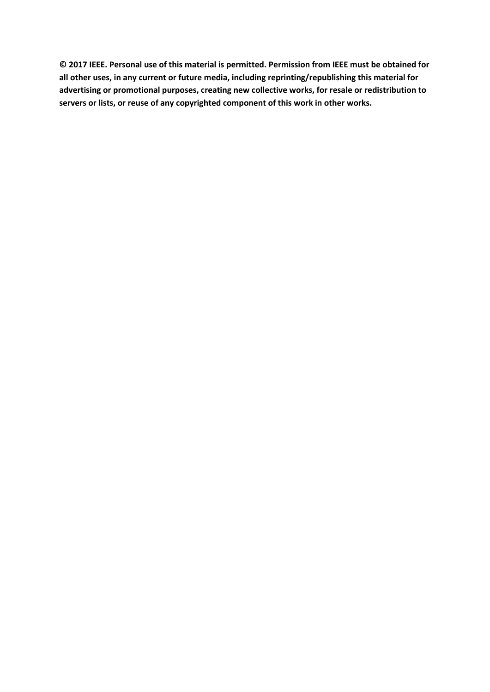**© 2017 IEEE. Personal use of this material is permitted. Permission from IEEE must be obtained for all other uses, in any current or future media, including reprinting/republishing this material for advertising or promotional purposes, creating new collective works, for resale or redistribution to servers or lists, or reuse of any copyrighted component of this work in other works.**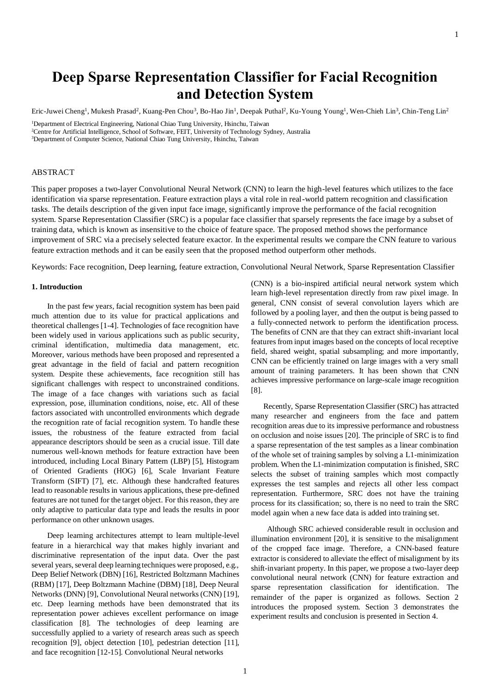# **Deep Sparse Representation Classifier for Facial Recognition and Detection System**

Eric-Juwei Cheng<sup>1</sup>, Mukesh Prasad<sup>2</sup>, Kuang-Pen Chou<sup>3</sup>, Bo-Hao Jin<sup>1</sup>, Deepak Puthal<sup>2</sup>, Ku-Young Young<sup>1</sup>, Wen-Chieh Lin<sup>3</sup>, Chin-Teng Lin<sup>2</sup>

<sup>2</sup>Centre for Artificial Intelligence, School of Software, FEIT, University of Technology Sydney, Australia

#### ABSTRACT

This paper proposes a two-layer Convolutional Neural Network (CNN) to learn the high-level features which utilizes to the face identification via sparse representation. Feature extraction plays a vital role in real-world pattern recognition and classification tasks. The details description of the given input face image, significantly improve the performance of the facial recognition system. Sparse Representation Classifier (SRC) is a popular face classifier that sparsely represents the face image by a subset of training data, which is known as insensitive to the choice of feature space. The proposed method shows the performance improvement of SRC via a precisely selected feature exactor. In the experimental results we compare the CNN feature to various feature extraction methods and it can be easily seen that the proposed method outperform other methods.

Keywords: Face recognition, Deep learning, feature extraction, Convolutional Neural Network, Sparse Representation Classifier

## **1. Introduction**

In the past few year*s*, facial recognition system has been paid much attention due to its value for practical applications and theoretical challenges [1-4]. Technologies of face recognition have been widely used in various applications such as public security, criminal identification, multimedia data management, etc. Moreover, various methods have been proposed and represented a great advantage in the field of facial and pattern recognition system. Despite these achievements, face recognition still has significant challenges with respect to unconstrained conditions. The image of a face changes with variations such as facial expression, pose, illumination conditions, noise, etc. All of these factors associated with uncontrolled environments which degrade the recognition rate of facial recognition system. To handle these issues, the robustness of the feature extracted from facial appearance descriptors should be seen as a crucial issue. Till date numerous well-known methods for feature extraction have been introduced, including Local Binary Pattern (LBP) [5], Histogram of Oriented Gradients (HOG) [6], Scale Invariant Feature Transform (SIFT) [7], etc. Although these handcrafted features lead to reasonable results in various applications, these pre-defined features are not tuned for the target object. For this reason, they are only adaptive to particular data type and leads the results in poor performance on other unknown usages.

Deep learning architectures attempt to learn multiple-level feature in a hierarchical way that makes highly invariant and discriminative representation of the input data. Over the past several years, several deep learning techniques were proposed, e.g., Deep Belief Network (DBN) [16], Restricted Boltzmann Machines (RBM) [17], Deep Boltzmann Machine (DBM) [18], Deep Neural Networks (DNN) [9], Convolutional Neural networks (CNN) [19], etc. Deep learning methods have been demonstrated that its representation power achieves excellent performance on image classification [8]. The technologies of deep learning are successfully applied to a variety of research areas such as speech recognition [9], object detection [10], pedestrian detection [11], and face recognition [12-15]. Convolutional Neural networks

(CNN) is a bio-inspired artificial neural network system which learn high-level representation directly from raw pixel image. In general, CNN consist of several convolution layers which are followed by a pooling layer, and then the output is being passed to a fully-connected network to perform the identification process. The benefits of CNN are that they can extract shift-invariant local features from input images based on the concepts of local receptive field, shared weight, spatial subsampling; and more importantly, CNN can be efficiently trained on large images with a very small amount of training parameters. It has been shown that CNN achieves impressive performance on large-scale image recognition [8].

 Recently, Sparse Representation Classifier (SRC) has attracted many researcher and engineers from the face and pattern recognition areas due to its impressive performance and robustness on occlusion and noise issues [20]. The principle of SRC is to find a sparse representation of the test samples as a linear combination of the whole set of training samples by solving a L1-minimization problem. When the L1-minimization computation is finished, SRC selects the subset of training samples which most compactly expresses the test samples and rejects all other less compact representation. Furthermore, SRC does not have the training process for its classification; so, there is no need to train the SRC model again when a new face data is added into training set.

 Although SRC achieved considerable result in occlusion and illumination environment [20], it is sensitive to the misalignment of the cropped face image. Therefore, a CNN-based feature extractor is considered to alleviate the effect of misalignment by its shift-invariant property. In this paper, we propose a two-layer deep convolutional neural network (CNN) for feature extraction and sparse representation classification for identification. The remainder of the paper is organized as follows. Section 2 introduces the proposed system. Section 3 demonstrates the experiment results and conclusion is presented in Section 4.

<sup>&</sup>lt;sup>1</sup>Department of Electrical Engineering, National Chiao Tung University, Hsinchu, Taiwan

<sup>3</sup>Department of Computer Science, National Chiao Tung University, Hsinchu, Taiwan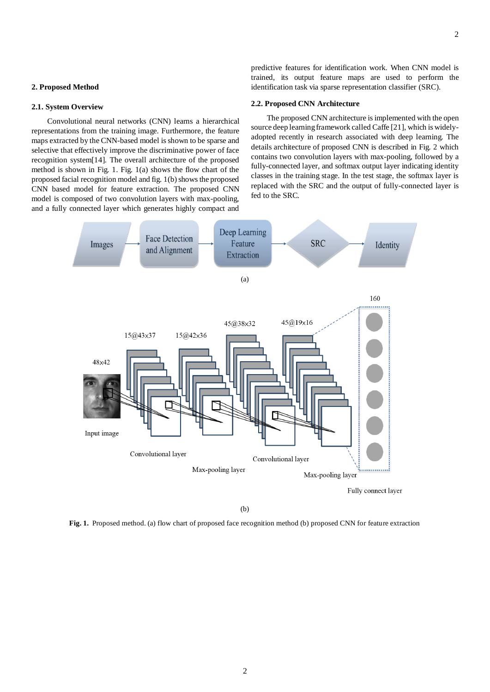## **2. Proposed Method**

# **2.1. System Overview**

Convolutional neural networks (CNN) learns a hierarchical representations from the training image. Furthermore, the feature maps extracted by the CNN-based model is shown to be sparse and selective that effectively improve the discriminative power of face recognition system[14]. The overall architecture of the proposed method is shown in Fig. 1. Fig. 1(a) shows the flow chart of the proposed facial recognition model and fig. 1(b) shows the proposed CNN based model for feature extraction. The proposed CNN model is composed of two convolution layers with max-pooling, and a fully connected layer which generates highly compact and predictive features for identification work. When CNN model is trained, its output feature maps are used to perform the identification task via sparse representation classifier (SRC).

# **2.2. Proposed CNN Architecture**

The proposed CNN architecture is implemented with the open source deep learning framework called Caffe [21], which is widelyadopted recently in research associated with deep learning. The details architecture of proposed CNN is described in Fig. 2 which contains two convolution layers with max-pooling, followed by a fully-connected layer, and softmax output layer indicating identity classes in the training stage. In the test stage, the softmax layer is replaced with the SRC and the output of fully-connected layer is fed to the SRC.



(b)

**Fig. 1.** Proposed method. (a) flow chart of proposed face recognition method (b) proposed CNN for feature extraction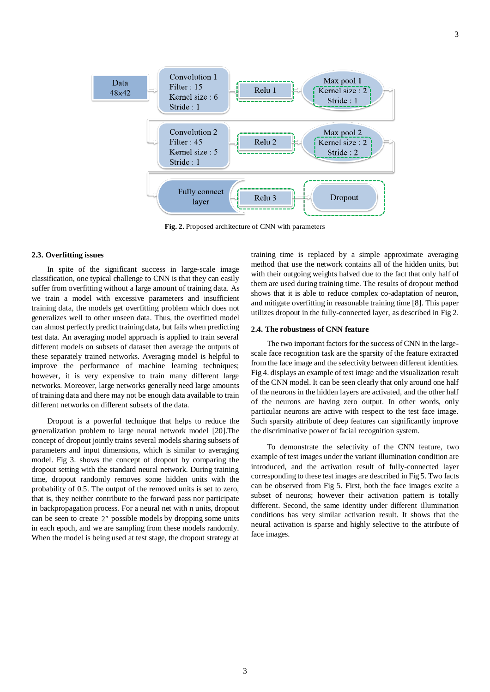

Convolution 1

**Fig. 2.** Proposed architecture of CNN with parameters

## **2.3. Overfitting issues**

In spite of the significant success in large-scale image classification, one typical challenge to CNN is that they can easily suffer from overfitting without a large amount of training data. As we train a model with excessive parameters and insufficient training data, the models get overfitting problem which does not generalizes well to other unseen data. Thus, the overfitted model can almost perfectly predict training data, but fails when predicting test data. An averaging model approach is applied to train several different models on subsets of dataset then average the outputs of these separately trained networks. Averaging model is helpful to improve the performance of machine learning techniques; however, it is very expensive to train many different large networks. Moreover, large networks generally need large amounts of training data and there may not be enough data available to train different networks on different subsets of the data.

Data

Dropout is a powerful technique that helps to reduce the generalization problem to large neural network model [20].The concept of dropout jointly trains several models sharing subsets of parameters and input dimensions, which is similar to averaging model. Fig 3. shows the concept of dropout by comparing the dropout setting with the standard neural network. During training time, dropout randomly removes some hidden units with the probability of 0.5. The output of the removed units is set to zero, that is, they neither contribute to the forward pass nor participate in backpropagation process. For a neural net with n units, dropout can be seen to create  $2<sup>n</sup>$  possible models by dropping some units in each epoch, and we are sampling from these models randomly. When the model is being used at test stage, the dropout strategy at

training time is replaced by a simple approximate averaging method that use the network contains all of the hidden units, but with their outgoing weights halved due to the fact that only half of them are used during training time. The results of dropout method shows that it is able to reduce complex co-adaptation of neuron, and mitigate overfitting in reasonable training time [8]. This paper utilizes dropout in the fully-connected layer, as described in Fig 2.

#### **2.4. The robustness of CNN feature**

The two important factors for the success of CNN in the largescale face recognition task are the sparsity of the feature extracted from the face image and the selectivity between different identities. Fig 4. displays an example of test image and the visualization result of the CNN model. It can be seen clearly that only around one half of the neurons in the hidden layers are activated, and the other half of the neurons are having zero output. In other words, only particular neurons are active with respect to the test face image. Such sparsity attribute of deep features can significantly improve the discriminative power of facial recognition system.

To demonstrate the selectivity of the CNN feature, two example of test images under the variant illumination condition are introduced, and the activation result of fully-connected layer corresponding to these test images are described in Fig 5. Two facts can be observed from Fig 5. First, both the face images excite a subset of neurons; however their activation pattern is totally different. Second, the same identity under different illumination conditions has very similar activation result. It shows that the neural activation is sparse and highly selective to the attribute of face images.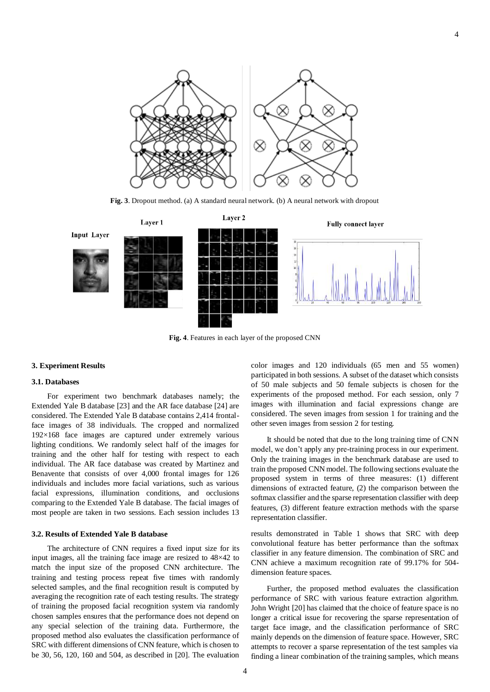

**Fig. 3**. Dropout method. (a) A standard neural network. (b) A neural network with dropout



**Fig. 4**. Features in each layer of the proposed CNN

#### **3. Experiment Results**

## **3.1. Databases**

For experiment two benchmark databases namely; the Extended Yale B database [23] and the AR face database [24] are considered. The Extended Yale B database contains 2,414 frontalface images of 38 individuals. The cropped and normalized 192×168 face images are captured under extremely various lighting conditions. We randomly select half of the images for training and the other half for testing with respect to each individual. The AR face database was created by Martinez and Benavente that consists of over 4,000 frontal images for 126 individuals and includes more facial variations, such as various facial expressions, illumination conditions, and occlusions comparing to the Extended Yale B database. The facial images of most people are taken in two sessions. Each session includes 13

# **3.2. Results of Extended Yale B database**

The architecture of CNN requires a fixed input size for its input images, all the training face image are resized to 48×42 to match the input size of the proposed CNN architecture. The training and testing process repeat five times with randomly selected samples, and the final recognition result is computed by averaging the recognition rate of each testing results. The strategy of training the proposed facial recognition system via randomly chosen samples ensures that the performance does not depend on any special selection of the training data. Furthermore, the proposed method also evaluates the classification performance of SRC with different dimensions of CNN feature, which is chosen to be 30, 56, 120, 160 and 504, as described in [20]. The evaluation color images and 120 individuals (65 men and 55 women) participated in both sessions. A subset of the dataset which consists of 50 male subjects and 50 female subjects is chosen for the experiments of the proposed method. For each session, only 7 images with illumination and facial expressions change are considered. The seven images from session 1 for training and the other seven images from session 2 for testing.

It should be noted that due to the long training time of CNN model, we don't apply any pre-training process in our experiment. Only the training images in the benchmark database are used to train the proposed CNN model. The following sections evaluate the proposed system in terms of three measures: (1) different dimensions of extracted feature, (2) the comparison between the softmax classifier and the sparse representation classifier with deep features, (3) different feature extraction methods with the sparse representation classifier.

results demonstrated in Table 1 shows that SRC with deep convolutional feature has better performance than the softmax classifier in any feature dimension. The combination of SRC and CNN achieve a maximum recognition rate of 99.17% for 504 dimension feature spaces.

Further, the proposed method evaluates the classification performance of SRC with various feature extraction algorithm. John Wright [20] has claimed that the choice of feature space is no longer a critical issue for recovering the sparse representation of target face image, and the classification performance of SRC mainly depends on the dimension of feature space. However, SRC attempts to recover a sparse representation of the test samples via finding a linear combination of the training samples, which means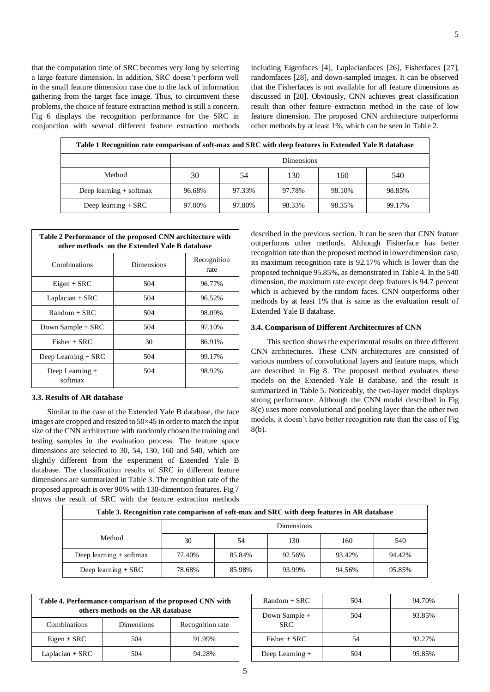that the computation time of SRC becomes very long by selecting a large feature dimension. In addition, SRC doesn't perform well in the small feature dimension case due to the lack of information gathering from the target face image. Thus, to circumvent these problems, the choice of feature extraction method is still a concern. Fig 6 displays the recognition performance for the SRC in conjunction with several different feature extraction methods including Eigenfaces [4], Laplacianfaces [26], Fisherfaces [27], randomfaces [28], and down-sampled images. It can be observed that the Fisherfaces is not available for all feature dimensions as discussed in [20]. Obviously, CNN achieves great classification result than other feature extraction method in the case of low feature dimension. The proposed CNN architecture outperforms other methods by at least 1%, which can be seen in Table 2.

| Table 1 Recognition rate comparison of soft-max and SRC with deep features in Extended Yale B database |            |        |        |        |        |
|--------------------------------------------------------------------------------------------------------|------------|--------|--------|--------|--------|
|                                                                                                        | Dimensions |        |        |        |        |
| Method                                                                                                 | 30         | 54     | 130    | 160    | 540    |
| Deep learning $+$ softmax                                                                              | 96.68%     | 97.33% | 97.78% | 98.10% | 98.85% |
| Deep learning $+$ SRC                                                                                  | 97.00%     | 97.80% | 98.33% | 98.35% | 99.17% |

| Table 2 Performance of the proposed CNN architecture with<br>other methods on the Extended Yale B database |            |                     |  |  |
|------------------------------------------------------------------------------------------------------------|------------|---------------------|--|--|
| Combinations                                                                                               | Dimensions | Recognition<br>rate |  |  |
| $Eigen + SRC$                                                                                              | 504        | 96.77%              |  |  |
| Laplacian $+$ SRC                                                                                          | 504        | 96.52%              |  |  |
| $Random + SRC$                                                                                             | 504        | 98.09%              |  |  |
| Down Sample + SRC                                                                                          | 504        | 97.10%              |  |  |
| $Fisher + SRC$                                                                                             | 30         | 86.91%              |  |  |
| Deep Learning $+$ SRC                                                                                      | 504        | 99.17%              |  |  |
| Deep Learning $+$<br>softmax                                                                               | 504        | 98.92%              |  |  |

## **3.3. Results of AR database**

Similar to the case of the Extended Yale B database, the face images are cropped and resized to 50×45 in order to match the input size of the CNN architecture with randomly chosen the training and testing samples in the evaluation process. The feature space dimensions are selected to 30, 54, 130, 160 and 540, which are slightly different from the experiment of Extended Yale B database. The classification results of SRC in different feature dimensions are summarized in Table 3. The recognition rate of the proposed approach is over 90% with 130-dimention features. Fig 7 shows the result of SRC with the feature extraction methods

described in the previous section. It can be seen that CNN feature outperforms other methods. Although Fisherface has better recognition rate than the proposed method in lower dimension case, its maximum recognition rate is 92.17% which is lower than the proposed technique 95.85%, as demonstrated in Table 4. In the 540 dimension, the maximum rate except deep features is 94.7 percent which is achieved by the random faces. CNN outperforms other methods by at least 1% that is same as the evaluation result of Extended Yale B database.

# **3.4. Comparison of Different Architectures of CNN**

This section shows the experimental results on three different CNN architectures. These CNN architectures are consisted of various numbers of convolutional layers and feature maps, which are described in Fig 8. The proposed method evaluates these models on the Extended Yale B database, and the result is summarized in Table 5. Noticeably, the two-layer model displays strong performance. Although the CNN model described in Fig 8(c) uses more convolutional and pooling layer than the other two models, it doesn't have better recognition rate than the case of Fig 8(b).

| Table 3. Recognition rate comparison of soft-max and SRC with deep features in AR database |                   |        |        |        |        |
|--------------------------------------------------------------------------------------------|-------------------|--------|--------|--------|--------|
|                                                                                            | <b>Dimensions</b> |        |        |        |        |
| Method                                                                                     | 30                | .54    | 130    | 160    | 540    |
| Deep learning $+$ softmax                                                                  | 77.40%            | 85.84% | 92.56% | 93.42% | 94.42% |
| Deep learning $+$ SRC                                                                      | 78.68%            | 85.98% | 93.99% | 94.56% | 95.85% |

| Table 4. Performance comparison of the proposed CNN with<br>others methods on the AR database |            |                  |  |  |
|-----------------------------------------------------------------------------------------------|------------|------------------|--|--|
| Combinations                                                                                  | Dimensions | Recognition rate |  |  |
| $Eigen + SRC$                                                                                 | 504        | 91.99%           |  |  |
| Laplacian $+$ SRC                                                                             | 504        | 94.28%           |  |  |

| $Random + SRC$              | 504 | 94.70% |
|-----------------------------|-----|--------|
| Down Sample +<br><b>SRC</b> | 504 | 93.85% |
| $Fisher + SRC$              | 54  | 92.27% |
| Deep Learning +             | 504 | 95.85% |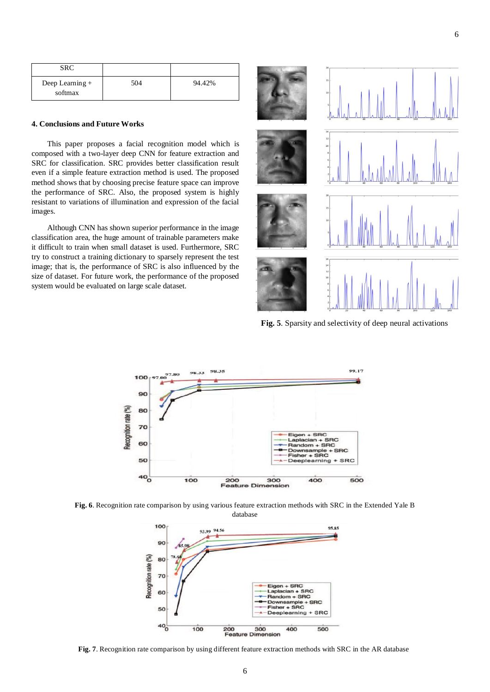| SRC                          |     |        |
|------------------------------|-----|--------|
| Deep Learning $+$<br>softmax | 504 | 94.42% |

#### **4. Conclusions and Future Works**

This paper proposes a facial recognition model which is composed with a two-layer deep CNN for feature extraction and SRC for classification. SRC provides better classification result even if a simple feature extraction method is used. The proposed method shows that by choosing precise feature space can improve the performance of SRC. Also, the proposed system is highly resistant to variations of illumination and expression of the facial images.

Although CNN has shown superior performance in the image classification area, the huge amount of trainable parameters make it difficult to train when small dataset is used. Furthermore, SRC try to construct a training dictionary to sparsely represent the test image; that is, the performance of SRC is also influenced by the size of dataset. For future work, the performance of the proposed system would be evaluated on large scale dataset.



**Fig. 5**. Sparsity and selectivity of deep neural activations



**Fig. 6**. Recognition rate comparison by using various feature extraction methods with SRC in the Extended Yale B database



**Fig. 7**. Recognition rate comparison by using different feature extraction methods with SRC in the AR database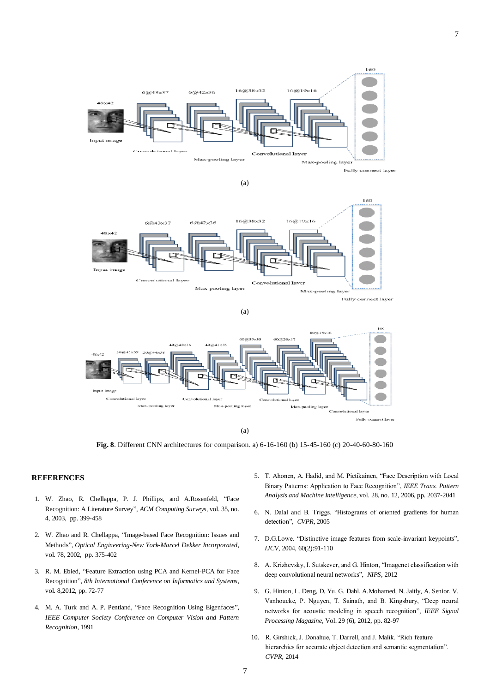

(a)



Fully connect layer





(a)

**Fig. 8**. Different CNN architectures for comparison. a) 6-16-160 (b) 15-45-160 (c) 20-40-60-80-160

# **REFERENCES**

- 1. W. Zhao, R. Chellappa, P. J. Phillips, and A.Rosenfeld, "Face Recognition: A Literature Survey", *ACM Computing Surveys*, vol. 35, no. 4, 2003, pp. 399-458
- 2. W. Zhao and R. Chellappa, "Image-based Face Recognition: Issues and Methods", *Optical Engineering-New York-Marcel Dekker Incorporated*, vol. 78, 2002, pp. 375-402
- 3. R. M. Ebied, "Feature Extraction using PCA and Kernel-PCA for Face Recognition", *8th International Conference on Informatics and Systems*, vol. 8,2012, pp. 72-77
- 4. M. A. Turk and A. P. Pentland, "Face Recognition Using Eigenfaces", *IEEE Computer Society Conference on Computer Vision and Pattern Recognition*, 1991
- 5. T. Ahonen, A. Hadid, and M. Pietikainen, "Face Description with Local Binary Patterns: Application to Face Recognition", *IEEE Trans. Pattern Analysis and Machine Intelligence*, vol. 28, no. 12, 2006, pp. 2037-2041
- 6. N. Dalal and B. Triggs. "Histograms of oriented gradients for human detection", *CVPR*, 2005
- 7. D.G.Lowe. "Distinctive image features from scale-invariant keypoints", *IJCV*, 2004, 60(2):91-110
- 8. A. Krizhevsky, I. Sutskever, and G. Hinton, "Imagenet classification with deep convolutional neural networks", *NIPS*, 2012
- 9. G. Hinton, L. Deng, D. Yu, G. Dahl, A.Mohamed, N. Jaitly, A. Senior, V. Vanhoucke, P. Nguyen, T. Sainath, and B. Kingsbury, "Deep neural networks for acoustic modeling in speech recognition", *IEEE Signal Processing Magazine*, Vol. 29 (6), 2012, pp. 82-97
- 10. R. Girshick, J. Donahue, T. Darrell, and J. Malik. "Rich feature hierarchies for accurate object detection and semantic segmentation". *CVPR*, 2014